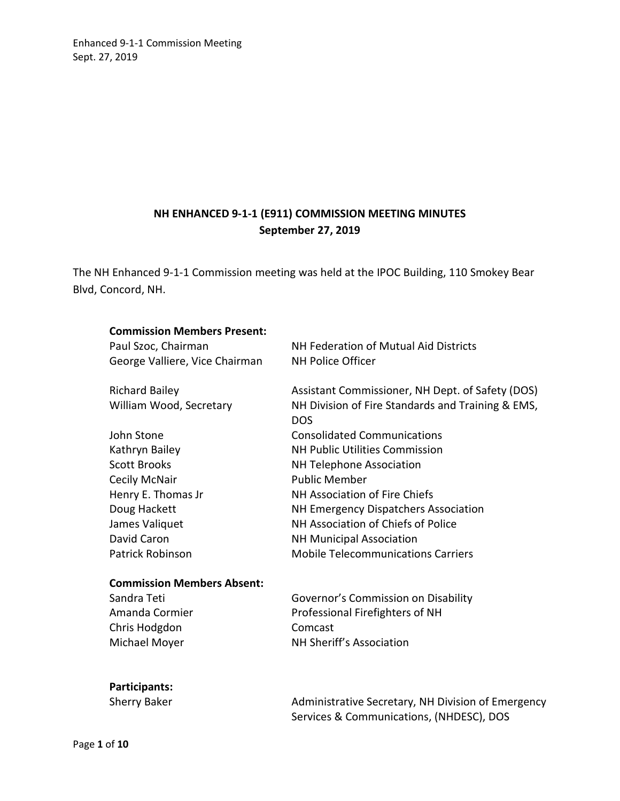# **NH ENHANCED 9-1-1 (E911) COMMISSION MEETING MINUTES September 27, 2019**

The NH Enhanced 9-1-1 Commission meeting was held at the IPOC Building, 110 Smokey Bear Blvd, Concord, NH.

| <b>Commission Members Present:</b> |                                                                 |
|------------------------------------|-----------------------------------------------------------------|
| Paul Szoc, Chairman                | NH Federation of Mutual Aid Districts                           |
| George Valliere, Vice Chairman     | <b>NH Police Officer</b>                                        |
| <b>Richard Bailey</b>              | Assistant Commissioner, NH Dept. of Safety (DOS)                |
| William Wood, Secretary            | NH Division of Fire Standards and Training & EMS,<br><b>DOS</b> |
| John Stone                         | <b>Consolidated Communications</b>                              |
| Kathryn Bailey                     | <b>NH Public Utilities Commission</b>                           |
| <b>Scott Brooks</b>                | <b>NH Telephone Association</b>                                 |
| Cecily McNair                      | <b>Public Member</b>                                            |
| Henry E. Thomas Jr                 | NH Association of Fire Chiefs                                   |
| Doug Hackett                       | NH Emergency Dispatchers Association                            |
| James Valiquet                     | NH Association of Chiefs of Police                              |
| David Caron                        | <b>NH Municipal Association</b>                                 |
| Patrick Robinson                   | <b>Mobile Telecommunications Carriers</b>                       |
| <b>Commission Members Absent:</b>  |                                                                 |
| Sandra Teti                        | Governor's Commission on Disability                             |
| Amanda Cormier                     | Professional Firefighters of NH                                 |
| Chris Hodgdon                      | Comcast                                                         |
| Michael Moyer                      | NH Sheriff's Association                                        |

# **Participants:**

Sherry Baker **Administrative Secretary, NH Division of Emergency** Services & Communications, (NHDESC), DOS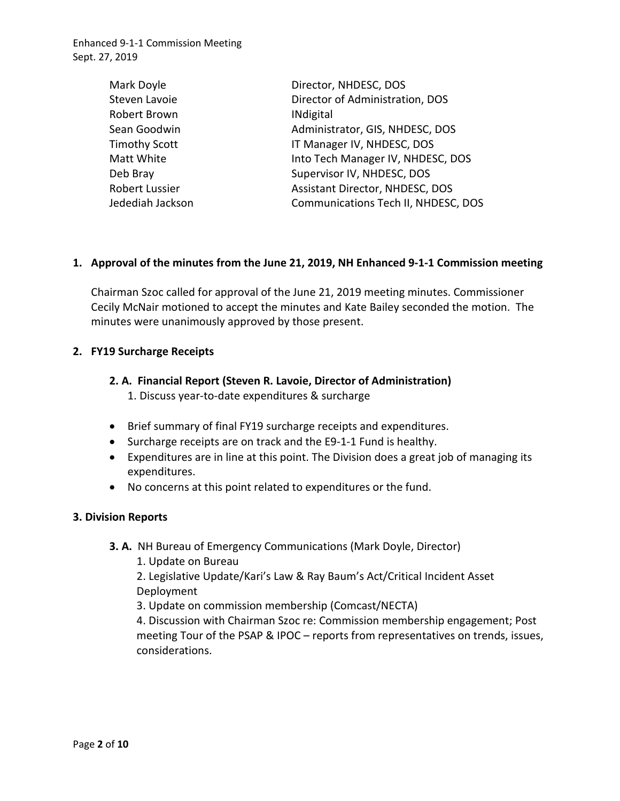| Mark Doyle            | Director, NHDESC, DOS               |
|-----------------------|-------------------------------------|
| Steven Lavoie         | Director of Administration, DOS     |
| Robert Brown          | <b>INdigital</b>                    |
| Sean Goodwin          | Administrator, GIS, NHDESC, DOS     |
| Timothy Scott         | IT Manager IV, NHDESC, DOS          |
| Matt White            | Into Tech Manager IV, NHDESC, DOS   |
| Deb Bray              | Supervisor IV, NHDESC, DOS          |
| <b>Robert Lussier</b> | Assistant Director, NHDESC, DOS     |
| Jedediah Jackson      | Communications Tech II, NHDESC, DOS |
|                       |                                     |

### **1. Approval of the minutes from the June 21, 2019, NH Enhanced 9-1-1 Commission meeting**

Chairman Szoc called for approval of the June 21, 2019 meeting minutes. Commissioner Cecily McNair motioned to accept the minutes and Kate Bailey seconded the motion. The minutes were unanimously approved by those present.

#### **2. FY19 Surcharge Receipts**

## **2. A. Financial Report (Steven R. Lavoie, Director of Administration)**

- 1. Discuss year-to-date expenditures & surcharge
- Brief summary of final FY19 surcharge receipts and expenditures.
- Surcharge receipts are on track and the E9-1-1 Fund is healthy.
- Expenditures are in line at this point. The Division does a great job of managing its expenditures.
- No concerns at this point related to expenditures or the fund.

### **3. Division Reports**

- **3. A.** NH Bureau of Emergency Communications (Mark Doyle, Director)
	- 1. Update on Bureau

2. Legislative Update/Kari's Law & Ray Baum's Act/Critical Incident Asset Deployment

3. Update on commission membership (Comcast/NECTA)

4. Discussion with Chairman Szoc re: Commission membership engagement; Post meeting Tour of the PSAP & IPOC – reports from representatives on trends, issues, considerations.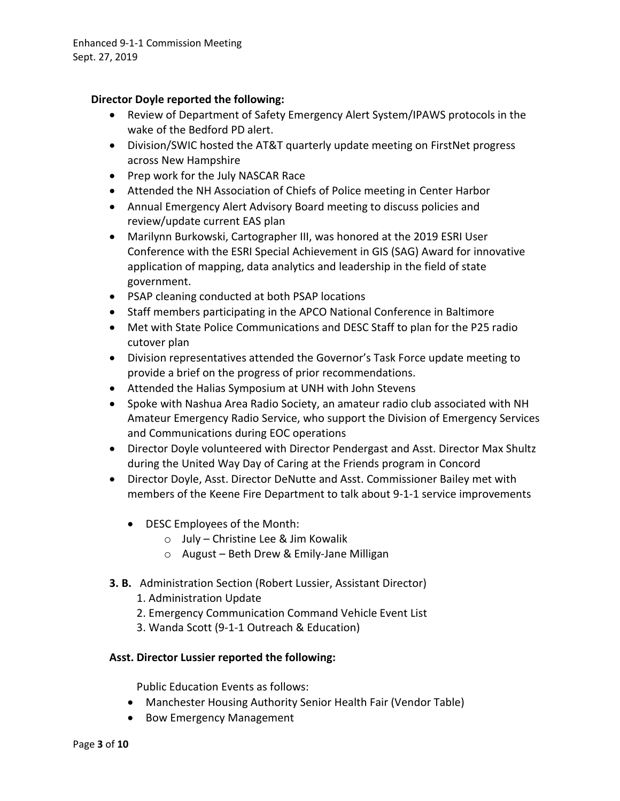### **Director Doyle reported the following:**

- Review of Department of Safety Emergency Alert System/IPAWS protocols in the wake of the Bedford PD alert.
- Division/SWIC hosted the AT&T quarterly update meeting on FirstNet progress across New Hampshire
- Prep work for the July NASCAR Race
- Attended the NH Association of Chiefs of Police meeting in Center Harbor
- Annual Emergency Alert Advisory Board meeting to discuss policies and review/update current EAS plan
- Marilynn Burkowski, Cartographer III, was honored at the 2019 ESRI User Conference with the ESRI Special Achievement in GIS (SAG) Award for innovative application of mapping, data analytics and leadership in the field of state government.
- PSAP cleaning conducted at both PSAP locations
- Staff members participating in the APCO National Conference in Baltimore
- Met with State Police Communications and DESC Staff to plan for the P25 radio cutover plan
- Division representatives attended the Governor's Task Force update meeting to provide a brief on the progress of prior recommendations.
- Attended the Halias Symposium at UNH with John Stevens
- Spoke with Nashua Area Radio Society, an amateur radio club associated with NH Amateur Emergency Radio Service, who support the Division of Emergency Services and Communications during EOC operations
- Director Doyle volunteered with Director Pendergast and Asst. Director Max Shultz during the United Way Day of Caring at the Friends program in Concord
- Director Doyle, Asst. Director DeNutte and Asst. Commissioner Bailey met with members of the Keene Fire Department to talk about 9-1-1 service improvements
	- DESC Employees of the Month:
		- o July Christine Lee & Jim Kowalik
		- o August Beth Drew & Emily-Jane Milligan
- **3. B.** Administration Section (Robert Lussier, Assistant Director)
	- 1. Administration Update
	- 2. Emergency Communication Command Vehicle Event List
	- 3. Wanda Scott (9-1-1 Outreach & Education)

### **Asst. Director Lussier reported the following:**

Public Education Events as follows:

- Manchester Housing Authority Senior Health Fair (Vendor Table)
- Bow Emergency Management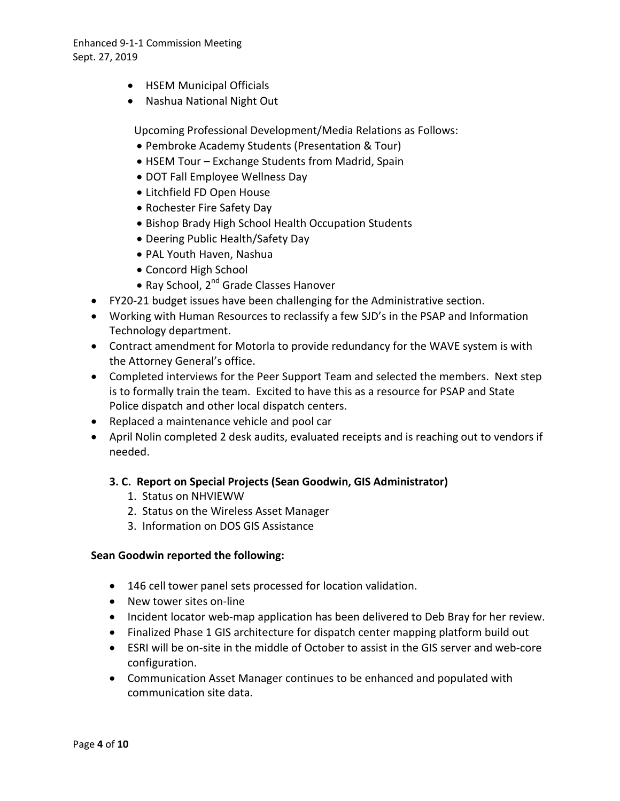- HSEM Municipal Officials
- Nashua National Night Out

Upcoming Professional Development/Media Relations as Follows:

- Pembroke Academy Students (Presentation & Tour)
- HSEM Tour Exchange Students from Madrid, Spain
- DOT Fall Employee Wellness Day
- Litchfield FD Open House
- Rochester Fire Safety Day
- Bishop Brady High School Health Occupation Students
- Deering Public Health/Safety Day
- PAL Youth Haven, Nashua
- Concord High School
- Ray School, 2<sup>nd</sup> Grade Classes Hanover
- FY20-21 budget issues have been challenging for the Administrative section.
- Working with Human Resources to reclassify a few SJD's in the PSAP and Information Technology department.
- Contract amendment for Motorla to provide redundancy for the WAVE system is with the Attorney General's office.
- Completed interviews for the Peer Support Team and selected the members. Next step is to formally train the team. Excited to have this as a resource for PSAP and State Police dispatch and other local dispatch centers.
- Replaced a maintenance vehicle and pool car
- April Nolin completed 2 desk audits, evaluated receipts and is reaching out to vendors if needed.

### **3. C. Report on Special Projects (Sean Goodwin, GIS Administrator)**

- 1. Status on NHVIEWW
- 2. Status on the Wireless Asset Manager
- 3. Information on DOS GIS Assistance

#### **Sean Goodwin reported the following:**

- 146 cell tower panel sets processed for location validation.
- New tower sites on-line
- Incident locator web-map application has been delivered to Deb Bray for her review.
- Finalized Phase 1 GIS architecture for dispatch center mapping platform build out
- ESRI will be on-site in the middle of October to assist in the GIS server and web-core configuration.
- Communication Asset Manager continues to be enhanced and populated with communication site data.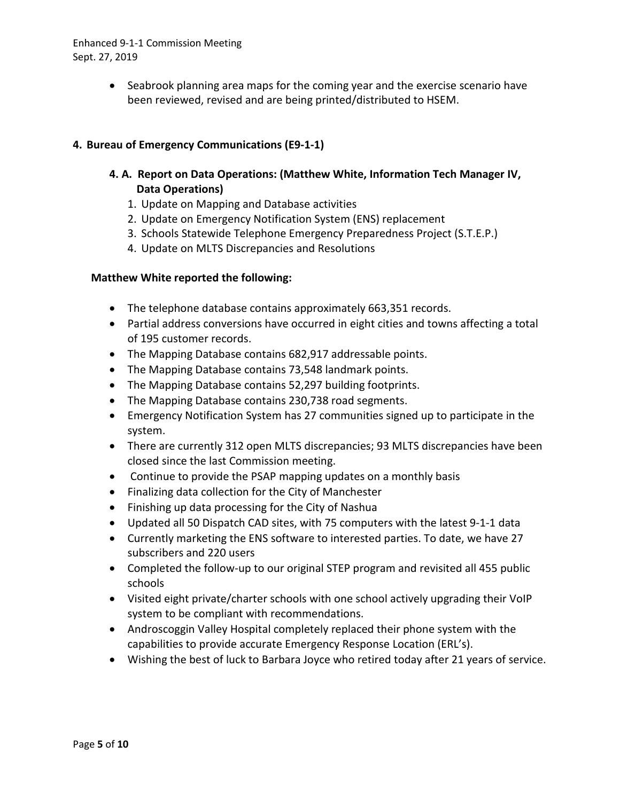• Seabrook planning area maps for the coming year and the exercise scenario have been reviewed, revised and are being printed/distributed to HSEM.

## **4. Bureau of Emergency Communications (E9-1-1)**

- **4. A. Report on Data Operations: (Matthew White, Information Tech Manager IV, Data Operations)** 
	- 1. Update on Mapping and Database activities
	- 2. Update on Emergency Notification System (ENS) replacement
	- 3. Schools Statewide Telephone Emergency Preparedness Project (S.T.E.P.)
	- 4. Update on MLTS Discrepancies and Resolutions

#### **Matthew White reported the following:**

- The telephone database contains approximately 663,351 records.
- Partial address conversions have occurred in eight cities and towns affecting a total of 195 customer records.
- The Mapping Database contains 682,917 addressable points.
- The Mapping Database contains 73,548 landmark points.
- The Mapping Database contains 52,297 building footprints.
- The Mapping Database contains 230,738 road segments.
- Emergency Notification System has 27 communities signed up to participate in the system.
- There are currently 312 open MLTS discrepancies; 93 MLTS discrepancies have been closed since the last Commission meeting.
- Continue to provide the PSAP mapping updates on a monthly basis
- Finalizing data collection for the City of Manchester
- Finishing up data processing for the City of Nashua
- Updated all 50 Dispatch CAD sites, with 75 computers with the latest 9-1-1 data
- Currently marketing the ENS software to interested parties. To date, we have 27 subscribers and 220 users
- Completed the follow-up to our original STEP program and revisited all 455 public schools
- Visited eight private/charter schools with one school actively upgrading their VoIP system to be compliant with recommendations.
- Androscoggin Valley Hospital completely replaced their phone system with the capabilities to provide accurate Emergency Response Location (ERL's).
- Wishing the best of luck to Barbara Joyce who retired today after 21 years of service.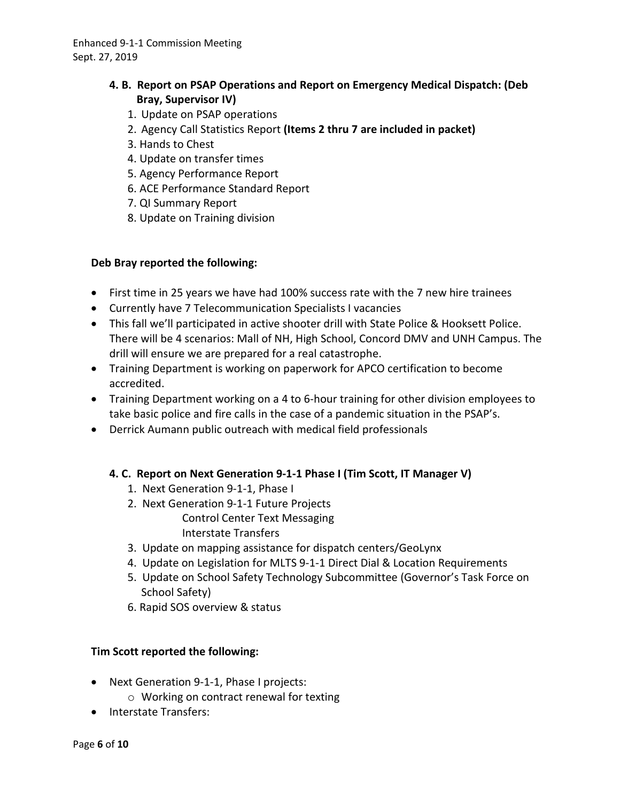## **4. B. Report on PSAP Operations and Report on Emergency Medical Dispatch: (Deb Bray, Supervisor IV)**

- 1. Update on PSAP operations
- 2. Agency Call Statistics Report **(Items 2 thru 7 are included in packet)**
- 3. Hands to Chest
- 4. Update on transfer times
- 5. Agency Performance Report
- 6. ACE Performance Standard Report
- 7. QI Summary Report
- 8. Update on Training division

### **Deb Bray reported the following:**

- First time in 25 years we have had 100% success rate with the 7 new hire trainees
- Currently have 7 Telecommunication Specialists I vacancies
- This fall we'll participated in active shooter drill with State Police & Hooksett Police. There will be 4 scenarios: Mall of NH, High School, Concord DMV and UNH Campus. The drill will ensure we are prepared for a real catastrophe.
- Training Department is working on paperwork for APCO certification to become accredited.
- Training Department working on a 4 to 6-hour training for other division employees to take basic police and fire calls in the case of a pandemic situation in the PSAP's.
- Derrick Aumann public outreach with medical field professionals

### **4. C. Report on Next Generation 9-1-1 Phase I (Tim Scott, IT Manager V)**

- 1. Next Generation 9-1-1, Phase I
- 2. Next Generation 9-1-1 Future Projects Control Center Text Messaging Interstate Transfers
- 3. Update on mapping assistance for dispatch centers/GeoLynx
- 4. Update on Legislation for MLTS 9-1-1 Direct Dial & Location Requirements
- 5. Update on School Safety Technology Subcommittee (Governor's Task Force on School Safety)
- 6. Rapid SOS overview & status

### **Tim Scott reported the following:**

- Next Generation 9-1-1, Phase I projects:
	- o Working on contract renewal for texting
- Interstate Transfers: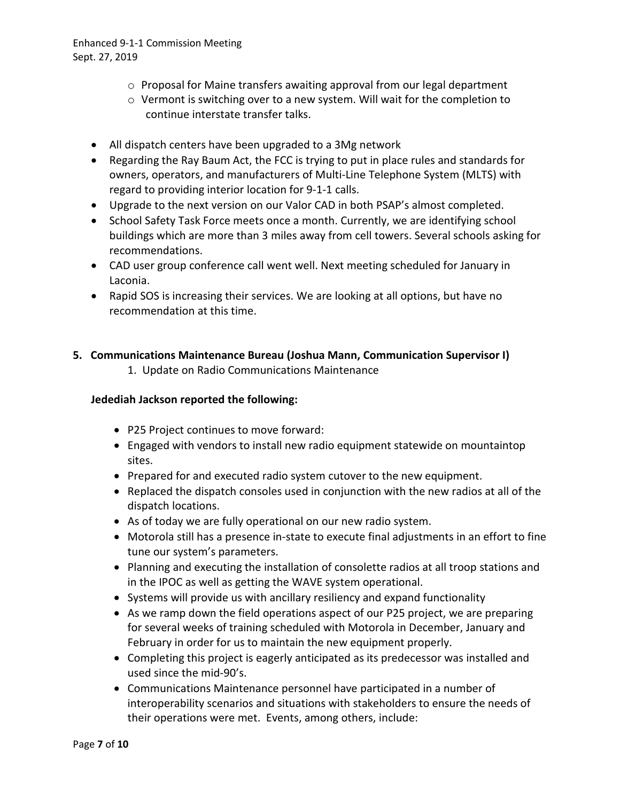- $\circ$  Proposal for Maine transfers awaiting approval from our legal department
- o Vermont is switching over to a new system. Will wait for the completion to continue interstate transfer talks.
- All dispatch centers have been upgraded to a 3Mg network
- Regarding the Ray Baum Act, the FCC is trying to put in place rules and standards for owners, operators, and manufacturers of Multi-Line Telephone System (MLTS) with regard to providing interior location for 9-1-1 calls.
- Upgrade to the next version on our Valor CAD in both PSAP's almost completed.
- School Safety Task Force meets once a month. Currently, we are identifying school buildings which are more than 3 miles away from cell towers. Several schools asking for recommendations.
- CAD user group conference call went well. Next meeting scheduled for January in Laconia.
- Rapid SOS is increasing their services. We are looking at all options, but have no recommendation at this time.

## **5. Communications Maintenance Bureau (Joshua Mann, Communication Supervisor I)**

1. Update on Radio Communications Maintenance

### **Jedediah Jackson reported the following:**

- P25 Project continues to move forward:
- Engaged with vendors to install new radio equipment statewide on mountaintop sites.
- Prepared for and executed radio system cutover to the new equipment.
- Replaced the dispatch consoles used in conjunction with the new radios at all of the dispatch locations.
- As of today we are fully operational on our new radio system.
- Motorola still has a presence in-state to execute final adjustments in an effort to fine tune our system's parameters.
- Planning and executing the installation of consolette radios at all troop stations and in the IPOC as well as getting the WAVE system operational.
- Systems will provide us with ancillary resiliency and expand functionality
- As we ramp down the field operations aspect of our P25 project, we are preparing for several weeks of training scheduled with Motorola in December, January and February in order for us to maintain the new equipment properly.
- Completing this project is eagerly anticipated as its predecessor was installed and used since the mid-90's.
- Communications Maintenance personnel have participated in a number of interoperability scenarios and situations with stakeholders to ensure the needs of their operations were met. Events, among others, include: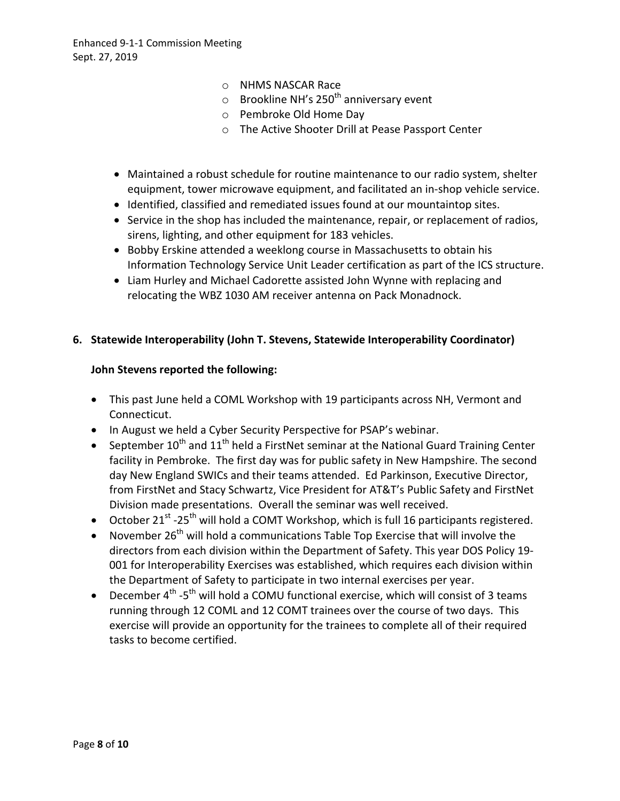- o NHMS NASCAR Race
- $\circ$  Brookline NH's 250<sup>th</sup> anniversary event
- o Pembroke Old Home Day
- o The Active Shooter Drill at Pease Passport Center
- Maintained a robust schedule for routine maintenance to our radio system, shelter equipment, tower microwave equipment, and facilitated an in-shop vehicle service.
- Identified, classified and remediated issues found at our mountaintop sites.
- Service in the shop has included the maintenance, repair, or replacement of radios, sirens, lighting, and other equipment for 183 vehicles.
- Bobby Erskine attended a weeklong course in Massachusetts to obtain his Information Technology Service Unit Leader certification as part of the ICS structure.
- Liam Hurley and Michael Cadorette assisted John Wynne with replacing and relocating the WBZ 1030 AM receiver antenna on Pack Monadnock.

### **6. Statewide Interoperability (John T. Stevens, Statewide Interoperability Coordinator)**

#### **John Stevens reported the following:**

- This past June held a COML Workshop with 19 participants across NH, Vermont and Connecticut.
- In August we held a Cyber Security Perspective for PSAP's webinar.
- September 10<sup>th</sup> and 11<sup>th</sup> held a FirstNet seminar at the National Guard Training Center facility in Pembroke. The first day was for public safety in New Hampshire. The second day New England SWICs and their teams attended. Ed Parkinson, Executive Director, from FirstNet and Stacy Schwartz, Vice President for AT&T's Public Safety and FirstNet Division made presentations. Overall the seminar was well received.
- October 21<sup>st</sup> -25<sup>th</sup> will hold a COMT Workshop, which is full 16 participants registered.
- November 26<sup>th</sup> will hold a communications Table Top Exercise that will involve the directors from each division within the Department of Safety. This year DOS Policy 19- 001 for Interoperability Exercises was established, which requires each division within the Department of Safety to participate in two internal exercises per year.
- December  $4^{\text{th}}$  -5<sup>th</sup> will hold a COMU functional exercise, which will consist of 3 teams running through 12 COML and 12 COMT trainees over the course of two days. This exercise will provide an opportunity for the trainees to complete all of their required tasks to become certified.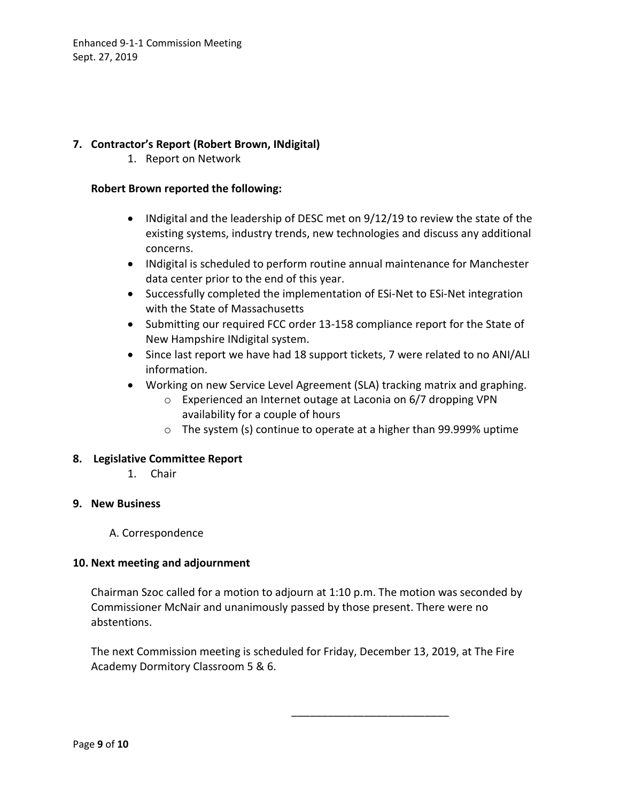## **7. Contractor's Report (Robert Brown, INdigital)**

1. Report on Network

#### **Robert Brown reported the following:**

- INdigital and the leadership of DESC met on 9/12/19 to review the state of the existing systems, industry trends, new technologies and discuss any additional concerns.
- INdigital is scheduled to perform routine annual maintenance for Manchester data center prior to the end of this year.
- Successfully completed the implementation of ESi-Net to ESi-Net integration with the State of Massachusetts
- Submitting our required FCC order 13-158 compliance report for the State of New Hampshire INdigital system.
- Since last report we have had 18 support tickets, 7 were related to no ANI/ALI information.
- Working on new Service Level Agreement (SLA) tracking matrix and graphing.
	- o Experienced an Internet outage at Laconia on 6/7 dropping VPN availability for a couple of hours
	- o The system (s) continue to operate at a higher than 99.999% uptime

### **8. Legislative Committee Report**

1. Chair

### **9. New Business**

A. Correspondence

#### **10. Next meeting and adjournment**

Chairman Szoc called for a motion to adjourn at 1:10 p.m. The motion was seconded by Commissioner McNair and unanimously passed by those present. There were no abstentions.

The next Commission meeting is scheduled for Friday, December 13, 2019, at The Fire Academy Dormitory Classroom 5 & 6.

\_\_\_\_\_\_\_\_\_\_\_\_\_\_\_\_\_\_\_\_\_\_\_\_\_\_